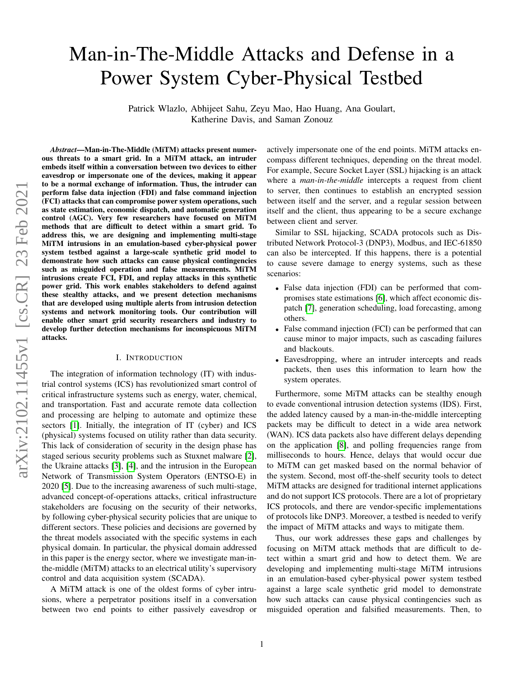# Man-in-The-Middle Attacks and Defense in a Power System Cyber-Physical Testbed

Patrick Wlazlo, Abhijeet Sahu, Zeyu Mao, Hao Huang, Ana Goulart, Katherine Davis, and Saman Zonouz

*Abstract*—Man-in-The-Middle (MiTM) attacks present numerous threats to a smart grid. In a MiTM attack, an intruder embeds itself within a conversation between two devices to either eavesdrop or impersonate one of the devices, making it appear to be a normal exchange of information. Thus, the intruder can perform false data injection (FDI) and false command injection (FCI) attacks that can compromise power system operations, such as state estimation, economic dispatch, and automatic generation control (AGC). Very few researchers have focused on MiTM methods that are difficult to detect within a smart grid. To address this, we are designing and implementing multi-stage MiTM intrusions in an emulation-based cyber-physical power system testbed against a large-scale synthetic grid model to demonstrate how such attacks can cause physical contingencies such as misguided operation and false measurements. MiTM intrusions create FCI, FDI, and replay attacks in this synthetic power grid. This work enables stakeholders to defend against these stealthy attacks, and we present detection mechanisms that are developed using multiple alerts from intrusion detection systems and network monitoring tools. Our contribution will enable other smart grid security researchers and industry to develop further detection mechanisms for inconspicuous MiTM attacks.

## I. INTRODUCTION

The integration of information technology (IT) with industrial control systems (ICS) has revolutionized smart control of critical infrastructure systems such as energy, water, chemical, and transportation. Fast and accurate remote data collection and processing are helping to automate and optimize these sectors [\[1\]](#page-11-0). Initially, the integration of IT (cyber) and ICS (physical) systems focused on utility rather than data security. This lack of consideration of security in the design phase has staged serious security problems such as Stuxnet malware [\[2\]](#page-11-1), the Ukraine attacks [\[3\]](#page-11-2), [\[4\]](#page-11-3), and the intrusion in the European Network of Transmission System Operators (ENTSO-E) in 2020 [\[5\]](#page-11-4). Due to the increasing awareness of such multi-stage, advanced concept-of-operations attacks, critical infrastructure stakeholders are focusing on the security of their networks, by following cyber-physical security policies that are unique to different sectors. These policies and decisions are governed by the threat models associated with the specific systems in each physical domain. In particular, the physical domain addressed in this paper is the energy sector, where we investigate man-inthe-middle (MiTM) attacks to an electrical utility's supervisory control and data acquisition system (SCADA).

A MiTM attack is one of the oldest forms of cyber intrusions, where a perpetrator positions itself in a conversation between two end points to either passively eavesdrop or actively impersonate one of the end points. MiTM attacks encompass different techniques, depending on the threat model. For example, Secure Socket Layer (SSL) hijacking is an attack where a *man-in-the-middle* intercepts a request from client to server, then continues to establish an encrypted session between itself and the server, and a regular session between itself and the client, thus appearing to be a secure exchange between client and server.

Similar to SSL hijacking, SCADA protocols such as Distributed Network Protocol-3 (DNP3), Modbus, and IEC-61850 can also be intercepted. If this happens, there is a potential to cause severe damage to energy systems, such as these scenarios:

- False data injection (FDI) can be performed that compromises state estimations [\[6\]](#page-11-5), which affect economic dispatch [\[7\]](#page-11-6), generation scheduling, load forecasting, among others.
- False command injection (FCI) can be performed that can cause minor to major impacts, such as cascading failures and blackouts.
- Eavesdropping, where an intruder intercepts and reads packets, then uses this information to learn how the system operates.

Furthermore, some MiTM attacks can be stealthy enough to evade conventional intrusion detection systems (IDS). First, the added latency caused by a man-in-the-middle intercepting packets may be difficult to detect in a wide area network (WAN). ICS data packets also have different delays depending on the application [\[8\]](#page-11-7), and polling frequencies range from milliseconds to hours. Hence, delays that would occur due to MiTM can get masked based on the normal behavior of the system. Second, most off-the-shelf security tools to detect MiTM attacks are designed for traditional internet applications and do not support ICS protocols. There are a lot of proprietary ICS protocols, and there are vendor-specific implementations of protocols like DNP3. Moreover, a testbed is needed to verify the impact of MiTM attacks and ways to mitigate them.

Thus, our work addresses these gaps and challenges by focusing on MiTM attack methods that are difficult to detect within a smart grid and how to detect them. We are developing and implementing multi-stage MiTM intrusions in an emulation-based cyber-physical power system testbed against a large scale synthetic grid model to demonstrate how such attacks can cause physical contingencies such as misguided operation and falsified measurements. Then, to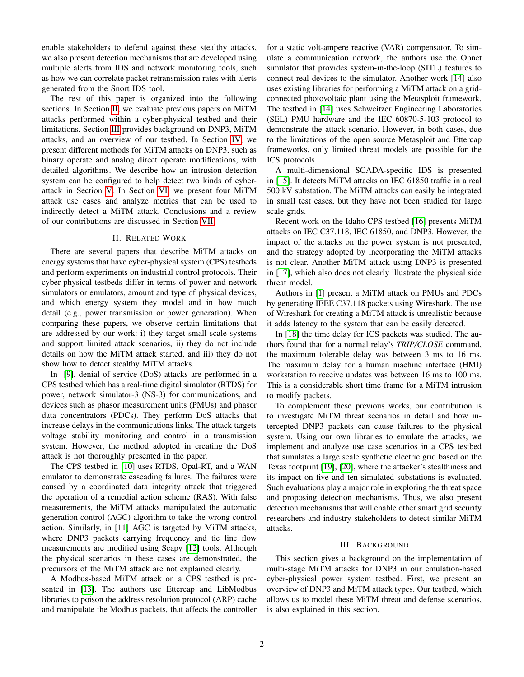enable stakeholders to defend against these stealthy attacks, we also present detection mechanisms that are developed using multiple alerts from IDS and network monitoring tools, such as how we can correlate packet retransmission rates with alerts generated from the Snort IDS tool.

The rest of this paper is organized into the following sections. In Section [II,](#page-1-0) we evaluate previous papers on MiTM attacks performed within a cyber-physical testbed and their limitations. Section [III](#page-1-1) provides background on DNP3, MiTM attacks, and an overview of our testbed. In Section [IV,](#page-4-0) we present different methods for MiTM attacks on DNP3, such as binary operate and analog direct operate modifications, with detailed algorithms. We describe how an intrusion detection system can be configured to help detect two kinds of cyberattack in Section [V.](#page-7-0) In Section [VI,](#page-7-1) we present four MiTM attack use cases and analyze metrics that can be used to indirectly detect a MiTM attack. Conclusions and a review of our contributions are discussed in Section [VII.](#page-10-0)

## II. RELATED WORK

<span id="page-1-0"></span>There are several papers that describe MiTM attacks on energy systems that have cyber-physical system (CPS) testbeds and perform experiments on industrial control protocols. Their cyber-physical testbeds differ in terms of power and network simulators or emulators, amount and type of physical devices, and which energy system they model and in how much detail (e.g., power transmission or power generation). When comparing these papers, we observe certain limitations that are addressed by our work: i) they target small scale systems and support limited attack scenarios, ii) they do not include details on how the MiTM attack started, and iii) they do not show how to detect stealthy MiTM attacks.

In [\[9\]](#page-11-8), denial of service (DoS) attacks are performed in a CPS testbed which has a real-time digital simulator (RTDS) for power, network simulator-3 (NS-3) for communications, and devices such as phasor measurement units (PMUs) and phasor data concentrators (PDCs). They perform DoS attacks that increase delays in the communications links. The attack targets voltage stability monitoring and control in a transmission system. However, the method adopted in creating the DoS attack is not thoroughly presented in the paper.

The CPS testbed in [\[10\]](#page-11-9) uses RTDS, Opal-RT, and a WAN emulator to demonstrate cascading failures. The failures were caused by a coordinated data integrity attack that triggered the operation of a remedial action scheme (RAS). With false measurements, the MiTM attacks manipulated the automatic generation control (AGC) algorithm to take the wrong control action. Similarly, in [\[11\]](#page-11-10) AGC is targeted by MiTM attacks, where DNP3 packets carrying frequency and tie line flow measurements are modified using Scapy [\[12\]](#page-11-11) tools. Although the physical scenarios in these cases are demonstrated, the precursors of the MiTM attack are not explained clearly.

A Modbus-based MiTM attack on a CPS testbed is presented in [\[13\]](#page-11-12). The authors use Ettercap and LibModbus libraries to poison the address resolution protocol (ARP) cache and manipulate the Modbus packets, that affects the controller for a static volt-ampere reactive (VAR) compensator. To simulate a communication network, the authors use the Opnet simulator that provides system-in-the-loop (SITL) features to connect real devices to the simulator. Another work [\[14\]](#page-11-13) also uses existing libraries for performing a MiTM attack on a gridconnected photovoltaic plant using the Metasploit framework. The testbed in [\[14\]](#page-11-13) uses Schweitzer Engineering Laboratories (SEL) PMU hardware and the IEC 60870-5-103 protocol to demonstrate the attack scenario. However, in both cases, due to the limitations of the open source Metasploit and Ettercap frameworks, only limited threat models are possible for the ICS protocols.

A multi-dimensional SCADA-specific IDS is presented in [\[15\]](#page-11-14). It detects MiTM attacks on IEC 61850 traffic in a real 500 kV substation. The MiTM attacks can easily be integrated in small test cases, but they have not been studied for large scale grids.

Recent work on the Idaho CPS testbed [\[16\]](#page-11-15) presents MiTM attacks on IEC C37.118, IEC 61850, and DNP3. However, the impact of the attacks on the power system is not presented, and the strategy adopted by incorporating the MiTM attacks is not clear. Another MiTM attack using DNP3 is presented in [\[17\]](#page-11-16), which also does not clearly illustrate the physical side threat model.

Authors in [\[1\]](#page-11-0) present a MiTM attack on PMUs and PDCs by generating IEEE C37.118 packets using Wireshark. The use of Wireshark for creating a MiTM attack is unrealistic because it adds latency to the system that can be easily detected.

In [\[18\]](#page-11-17) the time delay for ICS packets was studied. The authors found that for a normal relay's *TRIP/CLOSE* command, the maximum tolerable delay was between 3 ms to 16 ms. The maximum delay for a human machine interface (HMI) workstation to receive updates was between 16 ms to 100 ms. This is a considerable short time frame for a MiTM intrusion to modify packets.

To complement these previous works, our contribution is to investigate MiTM threat scenarios in detail and how intercepted DNP3 packets can cause failures to the physical system. Using our own libraries to emulate the attacks, we implement and analyze use case scenarios in a CPS testbed that simulates a large scale synthetic electric grid based on the Texas footprint [\[19\]](#page-11-18), [\[20\]](#page-11-19), where the attacker's stealthiness and its impact on five and ten simulated substations is evaluated. Such evaluations play a major role in exploring the threat space and proposing detection mechanisms. Thus, we also present detection mechanisms that will enable other smart grid security researchers and industry stakeholders to detect similar MiTM attacks.

## III. BACKGROUND

<span id="page-1-1"></span>This section gives a background on the implementation of multi-stage MiTM attacks for DNP3 in our emulation-based cyber-physical power system testbed. First, we present an overview of DNP3 and MiTM attack types. Our testbed, which allows us to model these MiTM threat and defense scenarios, is also explained in this section.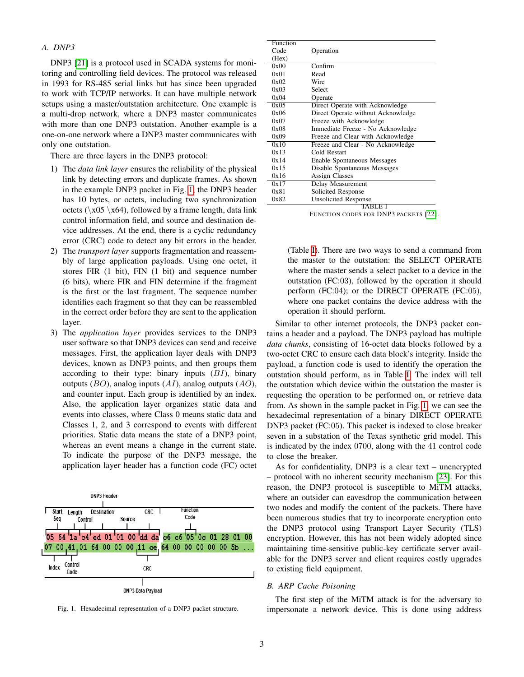## *A. DNP3*

DNP3 [\[21\]](#page-12-0) is a protocol used in SCADA systems for monitoring and controlling field devices. The protocol was released in 1993 for RS-485 serial links but has since been upgraded to work with TCP/IP networks. It can have multiple network setups using a master/outstation architecture. One example is a multi-drop network, where a DNP3 master communicates with more than one DNP3 outstation. Another example is a one-on-one network where a DNP3 master communicates with only one outstation.

There are three layers in the DNP3 protocol:

- 1) The *data link layer* ensures the reliability of the physical link by detecting errors and duplicate frames. As shown in the example DNP3 packet in Fig. [1,](#page-2-0) the DNP3 header has 10 bytes, or octets, including two synchronization octets ( $\x05 \x64$ ), followed by a frame length, data link control information field, and source and destination device addresses. At the end, there is a cyclic redundancy error (CRC) code to detect any bit errors in the header.
- 2) The *transport layer* supports fragmentation and reassembly of large application payloads. Using one octet, it stores FIR (1 bit), FIN (1 bit) and sequence number (6 bits), where FIR and FIN determine if the fragment is the first or the last fragment. The sequence number identifies each fragment so that they can be reassembled in the correct order before they are sent to the application layer.
- 3) The *application layer* provides services to the DNP3 user software so that DNP3 devices can send and receive messages. First, the application layer deals with DNP3 devices, known as DNP3 points, and then groups them according to their type: binary inputs  $(BI)$ , binary outputs  $(BO)$ , analog inputs  $(AI)$ , analog outputs  $(AO)$ , and counter input. Each group is identified by an index. Also, the application layer organizes static data and events into classes, where Class 0 means static data and Classes 1, 2, and 3 correspond to events with different priorities. Static data means the state of a DNP3 point, whereas an event means a change in the current state. To indicate the purpose of the DNP3 message, the application layer header has a function code (FC) octet



<span id="page-2-0"></span>Fig. 1. Hexadecimal representation of a DNP3 packet structure.

| Function |                                    |
|----------|------------------------------------|
| Code     | Operation                          |
| (Hex)    |                                    |
| 0x00     | Confirm                            |
| 0x01     | Read                               |
| 0x02     | Wire                               |
| 0x03     | Select                             |
| 0x04     | Operate                            |
| 0x05     | Direct Operate with Acknowledge    |
| 0x06     | Direct Operate without Acknowledge |
| 0x07     | Freeze with Acknowledge            |
| 0x08     | Immediate Freeze - No Acknowledge  |
| 0x09     | Freeze and Clear with Acknowledge  |
| 0x10     | Freeze and Clear - No Acknowledge  |
| 0x13     | Cold Restart                       |
| 0x14     | Enable Spontaneous Messages        |
| 0x15     | Disable Spontaneous Messages       |
| 0x16     | <b>Assign Classes</b>              |
| 0x17     | Delay Measurement                  |
| 0x81     | Solicited Response                 |
| 0x82     | <b>Unsolicited Response</b>        |
|          | TABLE I                            |

<span id="page-2-1"></span>FUNCTION CODES FOR DNP3 PACKETS [\[22\]](#page-12-1).

(Table [I\)](#page-2-1). There are two ways to send a command from the master to the outstation: the SELECT OPERATE where the master sends a select packet to a device in the outstation (FC:03), followed by the operation it should perform (FC:04); or the DIRECT OPERATE (FC:05), where one packet contains the device address with the operation it should perform.

Similar to other internet protocols, the DNP3 packet contains a header and a payload. The DNP3 payload has multiple *data chunks*, consisting of 16-octet data blocks followed by a two-octet CRC to ensure each data block's integrity. Inside the payload, a function code is used to identify the operation the outstation should perform, as in Table [I.](#page-2-1) The index will tell the outstation which device within the outstation the master is requesting the operation to be performed on, or retrieve data from. As shown in the sample packet in Fig. [1,](#page-2-0) we can see the hexadecimal representation of a binary DIRECT OPERATE DNP3 packet (FC:05). This packet is indexed to close breaker seven in a substation of the Texas synthetic grid model. This is indicated by the index 0700, along with the 41 control code to close the breaker.

As for confidentiality, DNP3 is a clear text – unencrypted – protocol with no inherent security mechanism [\[23\]](#page-12-2). For this reason, the DNP3 protocol is susceptible to MiTM attacks, where an outsider can eavesdrop the communication between two nodes and modify the content of the packets. There have been numerous studies that try to incorporate encryption onto the DNP3 protocol using Transport Layer Security (TLS) encryption. However, this has not been widely adopted since maintaining time-sensitive public-key certificate server available for the DNP3 server and client requires costly upgrades to existing field equipment.

#### *B. ARP Cache Poisoning*

The first step of the MiTM attack is for the adversary to impersonate a network device. This is done using address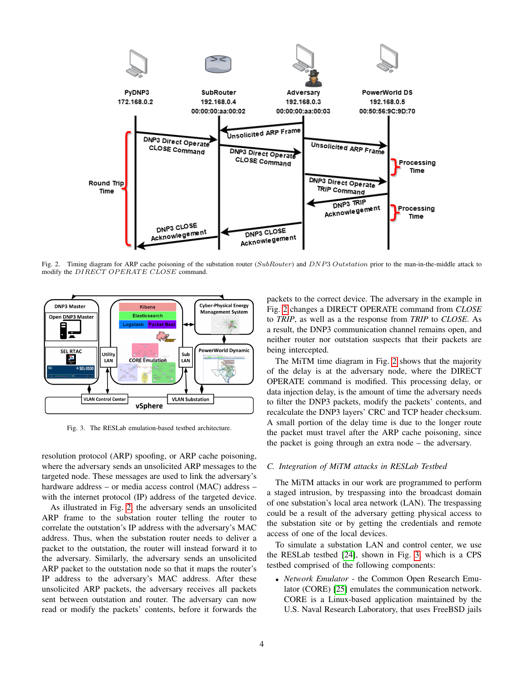

<span id="page-3-0"></span>Fig. 2. Timing diagram for ARP cache poisoning of the substation router (SubRouter) and DNP3 Outstation prior to the man-in-the-middle attack to modify the DIRECT OPERATE CLOSE command.



<span id="page-3-1"></span>Fig. 3. The RESLab emulation-based testbed architecture.

resolution protocol (ARP) spoofing, or ARP cache poisoning, where the adversary sends an unsolicited ARP messages to the targeted node. These messages are used to link the adversary's hardware address – or media access control (MAC) address – with the internet protocol (IP) address of the targeted device.

As illustrated in Fig. [2,](#page-3-0) the adversary sends an unsolicited ARP frame to the substation router telling the router to correlate the outstation's IP address with the adversary's MAC address. Thus, when the substation router needs to deliver a packet to the outstation, the router will instead forward it to the adversary. Similarly, the adversary sends an unsolicited ARP packet to the outstation node so that it maps the router's IP address to the adversary's MAC address. After these unsolicited ARP packets, the adversary receives all packets sent between outstation and router. The adversary can now read or modify the packets' contents, before it forwards the

packets to the correct device. The adversary in the example in Fig. [2](#page-3-0) changes a DIRECT OPERATE command from *CLOSE* to *TRIP*, as well as a the response from *TRIP* to *CLOSE*. As a result, the DNP3 communication channel remains open, and neither router nor outstation suspects that their packets are being intercepted.

The MiTM time diagram in Fig. [2](#page-3-0) shows that the majority of the delay is at the adversary node, where the DIRECT OPERATE command is modified. This processing delay, or data injection delay, is the amount of time the adversary needs to filter the DNP3 packets, modify the packets' contents, and recalculate the DNP3 layers' CRC and TCP header checksum. A small portion of the delay time is due to the longer route the packet must travel after the ARP cache poisoning, since the packet is going through an extra node – the adversary.

#### *C. Integration of MiTM attacks in RESLab Testbed*

The MiTM attacks in our work are programmed to perform a staged intrusion, by trespassing into the broadcast domain of one substation's local area network (LAN). The trespassing could be a result of the adversary getting physical access to the substation site or by getting the credentials and remote access of one of the local devices.

To simulate a substation LAN and control center, we use the RESLab testbed [\[24\]](#page-12-3), shown in Fig. [3,](#page-3-1) which is a CPS testbed comprised of the following components:

• *Network Emulator* - the Common Open Research Emulator (CORE) [\[25\]](#page-12-4) emulates the communication network. CORE is a Linux-based application maintained by the U.S. Naval Research Laboratory, that uses FreeBSD jails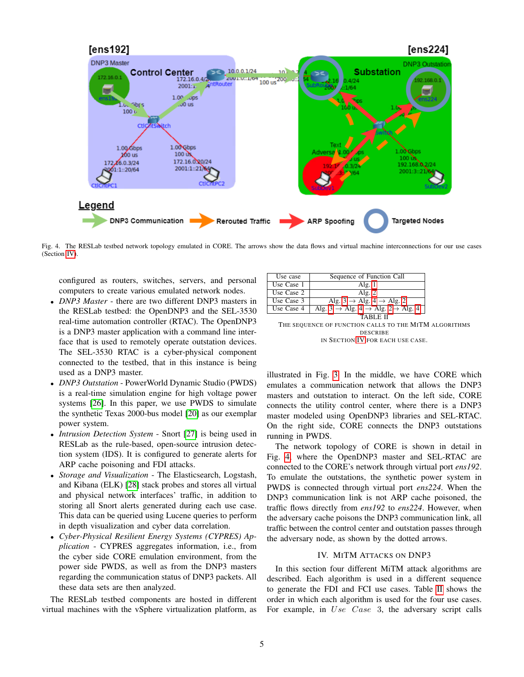

<span id="page-4-1"></span>Fig. 4. The RESLab testbed network topology emulated in CORE. The arrows show the data flows and virtual machine interconnections for our use cases (Section [IV\)](#page-4-0).

configured as routers, switches, servers, and personal computers to create various emulated network nodes.

- *DNP3 Master* there are two different DNP3 masters in the RESLab testbed: the OpenDNP3 and the SEL-3530 real-time automation controller (RTAC). The OpenDNP3 is a DNP3 master application with a command line interface that is used to remotely operate outstation devices. The SEL-3530 RTAC is a cyber-physical component connected to the testbed, that in this instance is being used as a DNP3 master.
- *DNP3 Outstation* PowerWorld Dynamic Studio (PWDS) is a real-time simulation engine for high voltage power systems [\[26\]](#page-12-5). In this paper, we use PWDS to simulate the synthetic Texas 2000-bus model [\[20\]](#page-11-19) as our exemplar power system.
- *Intrusion Detection System* Snort [\[27\]](#page-12-6) is being used in RESLab as the rule-based, open-source intrusion detection system (IDS). It is configured to generate alerts for ARP cache poisoning and FDI attacks.
- *Storage and Visualization* The Elasticsearch, Logstash, and Kibana (ELK) [\[28\]](#page-12-7) stack probes and stores all virtual and physical network interfaces' traffic, in addition to storing all Snort alerts generated during each use case. This data can be queried using Lucene queries to perform in depth visualization and cyber data correlation.
- *Cyber-Physical Resilient Energy Systems (CYPRES) Application* - CYPRES aggregates information, i.e., from the cyber side CORE emulation environment, from the power side PWDS, as well as from the DNP3 masters regarding the communication status of DNP3 packets. All these data sets are then analyzed.

The RESLab testbed components are hosted in different virtual machines with the vSphere virtualization platform, as



<span id="page-4-2"></span>THE SEQUENCE OF FUNCTION CALLS TO THE MITM ALGORITHMS DESCRIBE IN SECTION [IV](#page-4-0) FOR EACH USE CASE.

illustrated in Fig. [3.](#page-3-1) In the middle, we have CORE which emulates a communication network that allows the DNP3 masters and outstation to interact. On the left side, CORE connects the utility control center, where there is a DNP3 master modeled using OpenDNP3 libraries and SEL-RTAC. On the right side, CORE connects the DNP3 outstations running in PWDS.

The network topology of CORE is shown in detail in Fig. [4,](#page-4-1) where the OpenDNP3 master and SEL-RTAC are connected to the CORE's network through virtual port *ens192*. To emulate the outstations, the synthetic power system in PWDS is connected through virtual port *ens224*. When the DNP3 communication link is not ARP cache poisoned, the traffic flows directly from *ens192* to *ens224*. However, when the adversary cache poisons the DNP3 communication link, all traffic between the control center and outstation passes through the adversary node, as shown by the dotted arrows.

## IV. MITM ATTACKS ON DNP3

<span id="page-4-0"></span>In this section four different MiTM attack algorithms are described. Each algorithm is used in a different sequence to generate the FDI and FCI use cases. Table [II](#page-4-2) shows the order in which each algorithm is used for the four use cases. For example, in Use Case 3, the adversary script calls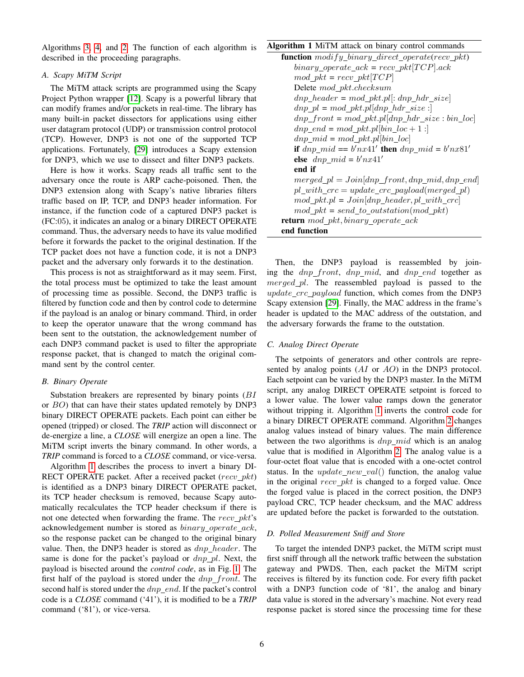Algorithms [3,](#page-6-1) [4,](#page-7-2) and [2.](#page-6-0) The function of each algorithm is described in the proceeding paragraphs.

## *A. Scapy MiTM Script*

The MiTM attack scripts are programmed using the Scapy Project Python wrapper [\[12\]](#page-11-11). Scapy is a powerful library that can modify frames and/or packets in real-time. The library has many built-in packet dissectors for applications using either user datagram protocol (UDP) or transmission control protocol (TCP). However, DNP3 is not one of the supported TCP applications. Fortunately, [\[29\]](#page-12-8) introduces a Scapy extension for DNP3, which we use to dissect and filter DNP3 packets.

Here is how it works. Scapy reads all traffic sent to the adversary once the route is ARP cache-poisoned. Then, the DNP3 extension along with Scapy's native libraries filters traffic based on IP, TCP, and DNP3 header information. For instance, if the function code of a captured DNP3 packet is (FC:05), it indicates an analog or a binary DIRECT OPERATE command. Thus, the adversary needs to have its value modified before it forwards the packet to the original destination. If the TCP packet does not have a function code, it is not a DNP3 packet and the adversary only forwards it to the destination.

This process is not as straightforward as it may seem. First, the total process must be optimized to take the least amount of processing time as possible. Second, the DNP3 traffic is filtered by function code and then by control code to determine if the payload is an analog or binary command. Third, in order to keep the operator unaware that the wrong command has been sent to the outstation, the acknowledgement number of each DNP3 command packet is used to filter the appropriate response packet, that is changed to match the original command sent by the control center.

## *B. Binary Operate*

Substation breakers are represented by binary points (BI or BO) that can have their states updated remotely by DNP3 binary DIRECT OPERATE packets. Each point can either be opened (tripped) or closed. The *TRIP* action will disconnect or de-energize a line, a *CLOSE* will energize an open a line. The MiTM script inverts the binary command. In other words, a *TRIP* command is forced to a *CLOSE* command, or vice-versa.

Algorithm [1](#page-5-0) describes the process to invert a binary DI-RECT OPERATE packet. After a received packet  $(recv\_pkt)$ is identified as a DNP3 binary DIRECT OPERATE packet, its TCP header checksum is removed, because Scapy automatically recalculates the TCP header checksum if there is not one detected when forwarding the frame. The  $recv$ <sub>p</sub> $kt$ 's acknowledgement number is stored as  $binary\_operate\_ack,$ so the response packet can be changed to the original binary value. Then, the DNP3 header is stored as  $dnp$  header. The same is done for the packet's payload or  $dnp$ -pl. Next, the payload is bisected around the *control code*, as in Fig. [1.](#page-2-0) The first half of the payload is stored under the  $dnp\_front$ . The second half is stored under the  $dnp\_end$ . If the packet's control code is a *CLOSE* command ('41'), it is modified to be a *TRIP* command ('81'), or vice-versa.

# <span id="page-5-0"></span>Algorithm 1 MiTM attack on binary control commands

| <b>function</b> modify_binary_direct_operate(recv_pkt) |
|--------------------------------------------------------|
| $binary\_operate\_ack = recv\_pkt[TCP].ack$            |
| $mod\_pkt = recv\_pkt[TCP]$                            |
| Delete mod_pkt.checksum                                |
| $dnp\_header = mod\_pkt.pl[:dnp\_hdr\_size]$           |
| $dnp\_pl = mod\_pkt.pl[dnp\_hdr\_size:]$               |
| $dnp\_front = mod\_pkt.pl[dp\_hdr\_size:bin\_loc]$     |
| $dnp\_end = mod\_pkt.pl[bin\_loc + 1:]$                |
| $dnp\_mid = mod\_pkt.pl bin\_loc $                     |
| if $dnp\_mid == b'nx41'$ then $dnp\_mid = b'nx81'$     |
| else $dnp\_mid = b'nx41'$                              |
| end if                                                 |
| $merged\_pl = Join[dnp\_front,dnp\_mid,dnp\_end]$      |
| $pl\_with\_crc = update\_crc\_payload(merged\_pl)$     |
| $mod\_pkt.pl = Join[dnp\_header, pl\_with\_crc]$       |
| $mod\_pkt = send\_to\_outstation(mod\_pkt)$            |
| return mod_pkt, binary_operate_ack                     |
| end function                                           |

Then, the DNP3 payload is reassembled by joining the  $dnp\_front$ ,  $dnp\_mid$ , and  $dnp\_end$  together as  $merged\_pl$ . The reassembled payload is passed to the update crc payload function, which comes from the DNP3 Scapy extension [\[29\]](#page-12-8). Finally, the MAC address in the frame's header is updated to the MAC address of the outstation, and the adversary forwards the frame to the outstation.

#### *C. Analog Direct Operate*

The setpoints of generators and other controls are represented by analog points  $(AI \t{or} AO)$  in the DNP3 protocol. Each setpoint can be varied by the DNP3 master. In the MiTM script, any analog DIRECT OPERATE setpoint is forced to a lower value. The lower value ramps down the generator without tripping it. Algorithm [1](#page-5-0) inverts the control code for a binary DIRECT OPERATE command. Algorithm [2](#page-6-0) changes analog values instead of binary values. The main difference between the two algorithms is  $dnp\_mid$  which is an analog value that is modified in Algorithm [2.](#page-6-0) The analog value is a four-octet float value that is encoded with a one-octet control status. In the *update new val*() function, the analog value in the original  $recv$  *pkt* is changed to a forged value. Once the forged value is placed in the correct position, the DNP3 payload CRC, TCP header checksum, and the MAC address are updated before the packet is forwarded to the outstation.

## *D. Polled Measurement Sniff and Store*

To target the intended DNP3 packet, the MiTM script must first sniff through all the network traffic between the substation gateway and PWDS. Then, each packet the MiTM script receives is filtered by its function code. For every fifth packet with a DNP3 function code of '81', the analog and binary data value is stored in the adversary's machine. Not every read response packet is stored since the processing time for these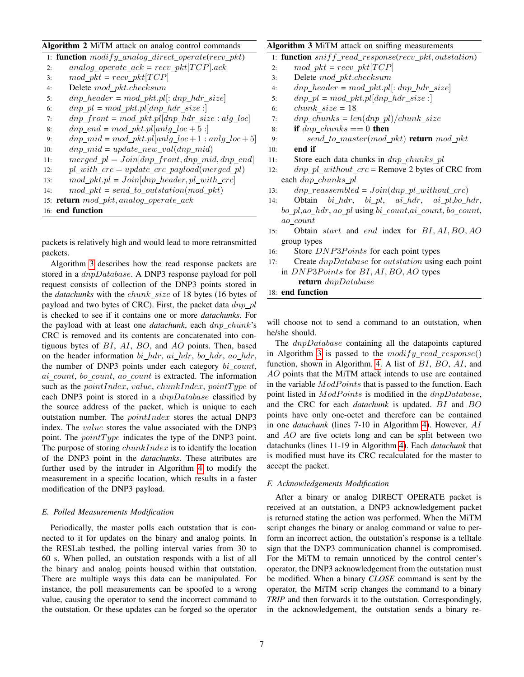# <span id="page-6-0"></span>Algorithm 2 MiTM attack on analog control commands

```
1: function modify\_analog\_direct\_operate(recv\_pkt)2: analog operate ack = recv pkt[TCP].ack
3: mod\_pkt = recv\_pkt[TCP]4: Delete mod pkt.checksum
5: dnp\_header = mod\_pkt.pl[:dnp\_hdr\_size]6: dnp pl = mod pkt.pl[dnp hdr size :]
7: dnp front = mod pkt.pl[dnp hdr size : alg loc]
8: dnp end = mod pkt.pl[anlq loc + 5 :]
9: dnp\_mid = mod\_pkt.pl[anlg\_loc + 1:anlg\_loc + 5]10: dnp\_mid = update\_new\_val(dnp\_mid)11: merged\_pl = Join[dnp\_front,dnp\_mid,dnp\_end]12: pl\_with\_crc = update\_crc\_payload(merged\_pl)13: mod\_pkt.pl = Join|dnp\_header, pl\_with\_crc|14: mod\_pkt = send\_to\_outstation(mod\_pkt)15: return mod_pkt, analog_operate_ack
16: end function
```
packets is relatively high and would lead to more retransmitted packets.

Algorithm [3](#page-6-1) describes how the read response packets are stored in a  $dnpDatabase$ . A DNP3 response payload for poll request consists of collection of the DNP3 points stored in the *datachunks* with the *chunk\_size* of 18 bytes (16 bytes of payload and two bytes of CRC). First, the packet data  $dn p$ <sub>pl</sub> is checked to see if it contains one or more *datachunks*. For the payload with at least one *datachunk*, each dnp chunk's CRC is removed and its contents are concatenated into contiguous bytes of  $BI$ ,  $AI$ ,  $BO$ , and  $AO$  points. Then, based on the header information  $bi\_hdr$ ,  $ai\_hdr$ ,  $bo\_hdr$ ,  $ao\_hdr$ , the number of DNP3 points under each category  $bi\_count$ ,  $ai\_count$ ,  $bo\_count$ ,  $ao\_count$  is extracted. The information such as the pointIndex, value, chunkIndex, pointType of each DNP3 point is stored in a  $dnpDatabase$  classified by the source address of the packet, which is unique to each outstation number. The pointIndex stores the actual DNP3 index. The value stores the value associated with the DNP3 point. The  $pointType$  indicates the type of the DNP3 point. The purpose of storing  $chunkIndex$  is to identify the location of the DNP3 point in the *datachunks*. These attributes are further used by the intruder in Algorithm [4](#page-7-2) to modify the measurement in a specific location, which results in a faster modification of the DNP3 payload.

#### *E. Polled Measurements Modification*

Periodically, the master polls each outstation that is connected to it for updates on the binary and analog points. In the RESLab testbed, the polling interval varies from 30 to 60 s. When polled, an outstation responds with a list of all the binary and analog points housed within that outstation. There are multiple ways this data can be manipulated. For instance, the poll measurements can be spoofed to a wrong value, causing the operator to send the incorrect command to the outstation. Or these updates can be forged so the operator

# <span id="page-6-1"></span>Algorithm 3 MiTM attack on sniffing measurements

1: **function**  $sniff\_read\_response(recv\_pkt, outstation)$ 

- 2: mod pkt =  $recv$  pkt  $TCP$
- 3: Delete mod pkt.checksum
- 4: dnp header = mod pkt.pl: dnp hdr size
- 5:  $dnp\_pl = mod\_pkt.pl[dp\_hdr\_size:]$
- 6:  $chunk size = 18$
- 7: dnp chunks =  $len(dnp\ pl)/chunk\ size$
- 8: if dnp chunks  $== 0$  then
- 9:  $send\_to\_master(mod\_pkt)$  return  $mod\_pkt$
- 10: end if
- 11: Store each data chunks in  $dnp\_chunks\_pl$
- 12:  $dnp\_pl\_without\_crc =$  Remove 2 bytes of CRC from each dnp\_chunks\_pl
- 13:  $dnp\_reassembled = Join(dnp\_pl\_without\_crc)$
- 14: Obtain  $bi\_hdr$ ,  $bi\_pl$ ,  $ai\_hdr$ ,  $ai\_pl$ ,  $bo\_hdr$ , bo\_pl,ao\_hdr, ao\_pl using bi\_count,ai\_count, bo\_count, ao count
- 15: Obtain start and end index for BI, AI, BO, AO group types
- 16: Store DNP3Points for each point types
- 17: Create dnpDatabase for outstation using each point in  $DNP3Points$  for  $BI, AI, BO, AO$  types

return dnpDatabase

18: end function

will choose not to send a command to an outstation, when he/she should.

The *dnpDatabase* containing all the datapoints captured in Algorithm [3](#page-6-1) is passed to the  $modify\_read\_response()$ function, shown in Algorithm. [4.](#page-7-2) A list of BI, BO, AI, and AO points that the MiTM attack intends to use are contained in the variable  $ModPoints$  that is passed to the function. Each point listed in  $ModPoints$  is modified in the  $dnpDatabase$ , and the CRC for each *datachunk* is updated. BI and BO points have only one-octet and therefore can be contained in one *datachunk* (lines 7-10 in Algorithm [4\)](#page-7-2). However, AI and AO are five octets long and can be split between two datachunks (lines 11-19 in Algorithm [4\)](#page-7-2). Each *datachunk* that is modified must have its CRC recalculated for the master to accept the packet.

## *F. Acknowledgements Modification*

After a binary or analog DIRECT OPERATE packet is received at an outstation, a DNP3 acknowledgement packet is returned stating the action was performed. When the MiTM script changes the binary or analog command or value to perform an incorrect action, the outstation's response is a telltale sign that the DNP3 communication channel is compromised. For the MiTM to remain unnoticed by the control center's operator, the DNP3 acknowledgement from the outstation must be modified. When a binary *CLOSE* command is sent by the operator, the MiTM scrip changes the command to a binary *TRIP* and then forwards it to the outstation. Correspondingly, in the acknowledgement, the outstation sends a binary re-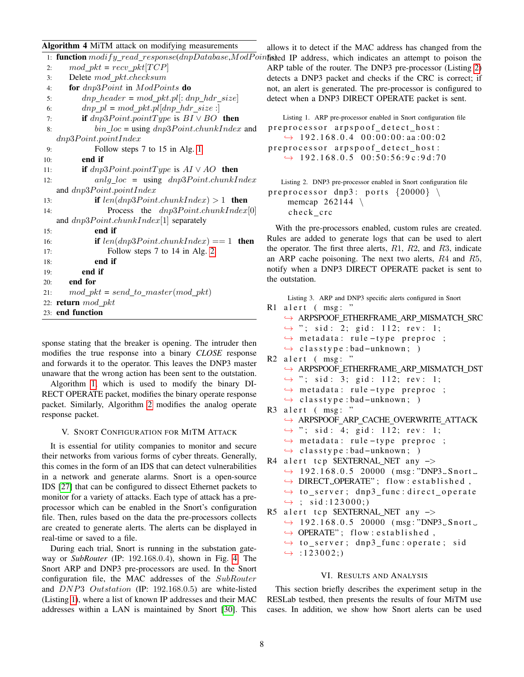## <span id="page-7-2"></span>Algorithm 4 MiTM attack on modifying measurements

|     | 1: function $modify\_read\_response(dnpDatabase, ModPoints)$ |     |  |  |
|-----|--------------------------------------------------------------|-----|--|--|
| 2:  | $mod\_pkt = recv\_pkt[TCP]$                                  | AR  |  |  |
| 3:  | Delete mod_pkt.checksum                                      | det |  |  |
| 4:  | for $dnp3Point$ in $ModPoints$ do                            | not |  |  |
| 5:  | $dnp\_header = mod\_pkt.pl[:dnp\_hdr\_size]$                 | det |  |  |
| 6:  | $dnp\_pl = mod\_pkt.pl[dp\_hdr\_size:]$                      |     |  |  |
| 7:  | <b>if</b> $dnp3Point.pointType$ is $BI \vee BO$ then         |     |  |  |
| 8:  | $bin\_loc =$ using $dnp3Point.chunkIndex$ and                | pr  |  |  |
|     | dnp3Point.pointIndex                                         |     |  |  |
| 9:  | Follow steps 7 to 15 in Alg. 1                               | pr  |  |  |
| 10: | end if                                                       |     |  |  |
| 11: | <b>if</b> $dnp3Point.pointType$ is $AI \vee AO$ <b>then</b>  |     |  |  |
| 12: | $anlg\_loc$ = using $dnp3Point.chunkIndex$                   |     |  |  |
|     | and $dnp3Point.pointIndex$                                   | pr  |  |  |
| 13: | if $len(dnp3Point.chunkIndex) > 1$ then                      |     |  |  |
| 14: | Process the $dnp3Point.chunkIndex[0]$                        |     |  |  |
|     | and $dnp3Point.chunkIndex[1]$ separately                     |     |  |  |
| 15: | end if                                                       |     |  |  |
| 16: | <b>if</b> $len(dnp3Point.chunkIndex) == 1$ <b>then</b>       | Ru  |  |  |
| 17: | Follow steps 7 to 14 in Alg. 2                               | the |  |  |
| 18: | end if                                                       | an  |  |  |
| 19: | end if                                                       | not |  |  |
| 20: | end for                                                      | the |  |  |
| 21: | $mod\_pkt = send\_to\_master(mod\_pkt)$                      |     |  |  |
|     | 22: return $mod\_pkt$<br>R <sub>1</sub>                      |     |  |  |
|     | 23: end function                                             |     |  |  |

sponse stating that the breaker is opening. The intruder then modifies the true response into a binary *CLOSE* response and forwards it to the operator. This leaves the DNP3 master unaware that the wrong action has been sent to the outstation.

Algorithm [1,](#page-5-0) which is used to modify the binary DI-RECT OPERATE packet, modifies the binary operate response packet. Similarly, Algorithm [2](#page-6-0) modifies the analog operate response packet.

## V. SNORT CONFIGURATION FOR MITM ATTACK

<span id="page-7-0"></span>It is essential for utility companies to monitor and secure their networks from various forms of cyber threats. Generally, this comes in the form of an IDS that can detect vulnerabilities in a network and generate alarms. Snort is a open-source IDS [\[27\]](#page-12-6) that can be configured to dissect Ethernet packets to monitor for a variety of attacks. Each type of attack has a preprocessor which can be enabled in the Snort's configuration file. Then, rules based on the data the pre-processors collects are created to generate alerts. The alerts can be displayed in real-time or saved to a file.

During each trial, Snort is running in the substation gateway or *SubRouter* (IP: 192.168.0.4), shown in Fig. [4.](#page-4-1) The Snort ARP and DNP3 pre-processors are used. In the Snort configuration file, the MAC addresses of the SubRouter and DNP3 Outstation (IP: 192.168.0.5) are white-listed (Listing [1\)](#page-7-3), where a list of known IP addresses and their MAC addresses within a LAN is maintained by Snort [\[30\]](#page-12-9). This

allows it to detect if the MAC address has changed from the intisted IP address, which indicates an attempt to poison the ARP table of the router. The DNP3 pre-processor (Listing [2\)](#page-7-4) detects a DNP3 packet and checks if the CRC is correct; if not, an alert is generated. The pre-processor is configured to detect when a DNP3 DIRECT OPERATE packet is sent.

<span id="page-7-3"></span>Listing 1. ARP pre-processor enabled in Snort configuration file preprocessor arpspoof\_detect\_host:  $\rightarrow$  192.168.0.4 00:00:00:aa:00:02 p r e p r o c e s s o r a r p s p o o f \_d e t e c t \_h o s t :  $\rightarrow$  192.168.0.5 00:50:56:9c:9d:70

<span id="page-7-4"></span>Listing 2. DNP3 pre-processor enabled in Snort configuration file preprocessor dnp3: ports  $\{20000\}$ memcap  $262144$  $check\_crc$ 

With the pre-processors enabled, custom rules are created. Rules are added to generate logs that can be used to alert the operator. The first three alerts,  $R1$ ,  $R2$ , and  $R3$ , indicate an ARP cache poisoning. The next two alerts, R4 and R5, notify when a DNP3 DIRECT OPERATE packet is sent to the outstation.

<span id="page-7-5"></span>Listing 3. ARP and DNP3 specific alerts configured in Snort R1 a l e r t ( msg : "

- $\rightarrow$  ARPSPOOF ETHERFRAME ARP MISMATCH SRC
	- $\rightarrow$  "; sid: 2; gid: 112; rev: 1;
- $\rightarrow$  metadata: rule-type preproc ;
- ,→ c l a s s t y p e : bad −unknown ; )
- R2 a l e r t ( msg : " → ARPSPOOF\_ETHERFRAME\_ARP\_MISMATCH\_DST  $\leftrightarrow$  "; sid: 3; gid: 112; rev: 1; ,→ m et a d at a : r u l e − t y p e p r e p r o c ; ,→ c l a s s t y p e : bad −unknown ; ) R3 a l e r t ( msg : " ,→ ARPSPOOF ARP CACHE OVERWRITE ATTACK  $\leftrightarrow$  "; sid: 4; gid: 112; rev: 1;
	- $\rightarrow$  metadata: rule-type preproc ;
	- ,→ c l a s s t y p e : bad −unknown ; )
- R4 alert tcp \$EXTERNAL\_NET any ->  $\rightarrow$  192.168.0.5 20000 (msg:"DNP3\_Snort\_  $\rightarrow$  DIRECT\_OPERATE"; flow: established,  $\leftrightarrow$  to\_server; dnp3\_func:direct\_operate  $\leftrightarrow$ ; sid:123000;) R5 a l e r t t c p  $E XTERNAL_NET$  any  $\rightarrow$
- $\rightarrow$  192.168.0.5 20000 (msg:"DNP3\_Snort\_  $\rightarrow$  OPERATE"; flow: established,  $\leftrightarrow$  to\_server; dnp3\_func:operate; sid
	- $\rightarrow$ :123002;)

#### VI. RESULTS AND ANALYSIS

<span id="page-7-1"></span>This section briefly describes the experiment setup in the RESLab testbed, then presents the results of four MiTM use cases. In addition, we show how Snort alerts can be used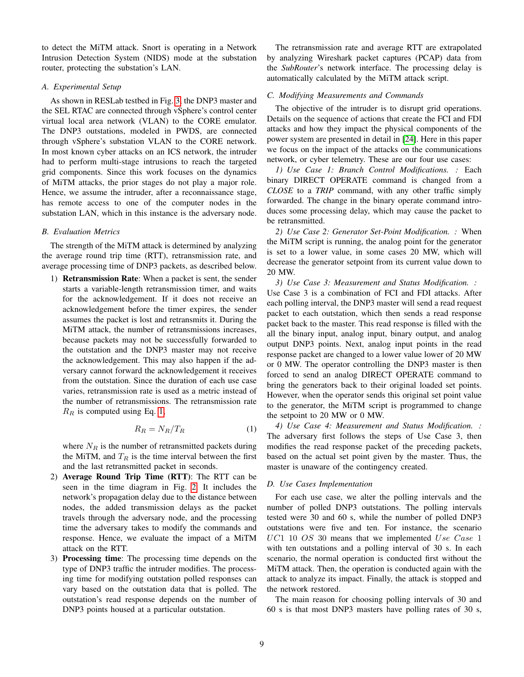to detect the MiTM attack. Snort is operating in a Network Intrusion Detection System (NIDS) mode at the substation router, protecting the substation's LAN.

#### *A. Experimental Setup*

As shown in RESLab testbed in Fig. [3,](#page-3-1) the DNP3 master and the SEL RTAC are connected through vSphere's control center virtual local area network (VLAN) to the CORE emulator. The DNP3 outstations, modeled in PWDS, are connected through vSphere's substation VLAN to the CORE network. In most known cyber attacks on an ICS network, the intruder had to perform multi-stage intrusions to reach the targeted grid components. Since this work focuses on the dynamics of MiTM attacks, the prior stages do not play a major role. Hence, we assume the intruder, after a reconnaissance stage, has remote access to one of the computer nodes in the substation LAN, which in this instance is the adversary node.

#### *B. Evaluation Metrics*

The strength of the MiTM attack is determined by analyzing the average round trip time (RTT), retransmission rate, and average processing time of DNP3 packets, as described below.

1) Retransmission Rate: When a packet is sent, the sender starts a variable-length retransmission timer, and waits for the acknowledgement. If it does not receive an acknowledgement before the timer expires, the sender assumes the packet is lost and retransmits it. During the MiTM attack, the number of retransmissions increases, because packets may not be successfully forwarded to the outstation and the DNP3 master may not receive the acknowledgement. This may also happen if the adversary cannot forward the acknowledgement it receives from the outstation. Since the duration of each use case varies, retransmission rate is used as a metric instead of the number of retransmissions. The retransmission rate  $R_R$  is computed using Eq. [1,](#page-8-0)

<span id="page-8-0"></span>
$$
R_R = N_R / T_R \tag{1}
$$

where  $N_R$  is the number of retransmitted packets during the MiTM, and  $T_R$  is the time interval between the first and the last retransmitted packet in seconds.

- 2) Average Round Trip Time (RTT): The RTT can be seen in the time diagram in Fig. [2.](#page-3-0) It includes the network's propagation delay due to the distance between nodes, the added transmission delays as the packet travels through the adversary node, and the processing time the adversary takes to modify the commands and response. Hence, we evaluate the impact of a MiTM attack on the RTT.
- 3) Processing time: The processing time depends on the type of DNP3 traffic the intruder modifies. The processing time for modifying outstation polled responses can vary based on the outstation data that is polled. The outstation's read response depends on the number of DNP3 points housed at a particular outstation.

The retransmission rate and average RTT are extrapolated by analyzing Wireshark packet captures (PCAP) data from the *SubRouter*'s network interface. The processing delay is automatically calculated by the MiTM attack script.

#### *C. Modifying Measurements and Commands*

The objective of the intruder is to disrupt grid operations. Details on the sequence of actions that create the FCI and FDI attacks and how they impact the physical components of the power system are presented in detail in [\[24\]](#page-12-3). Here in this paper we focus on the impact of the attacks on the communications network, or cyber telemetry. These are our four use cases:

*1) Use Case 1: Branch Control Modifications. :* Each binary DIRECT OPERATE command is changed from a *CLOSE* to a *TRIP* command, with any other traffic simply forwarded. The change in the binary operate command introduces some processing delay, which may cause the packet to be retransmitted.

*2) Use Case 2: Generator Set-Point Modification. :* When the MiTM script is running, the analog point for the generator is set to a lower value, in some cases 20 MW, which will decrease the generator setpoint from its current value down to 20 MW.

*3) Use Case 3: Measurement and Status Modification. :* Use Case 3 is a combination of FCI and FDI attacks. After each polling interval, the DNP3 master will send a read request packet to each outstation, which then sends a read response packet back to the master. This read response is filled with the all the binary input, analog input, binary output, and analog output DNP3 points. Next, analog input points in the read response packet are changed to a lower value lower of 20 MW or 0 MW. The operator controlling the DNP3 master is then forced to send an analog DIRECT OPERATE command to bring the generators back to their original loaded set points. However, when the operator sends this original set point value to the generator, the MiTM script is programmed to change the setpoint to 20 MW or 0 MW.

*4) Use Case 4: Measurement and Status Modification. :* The adversary first follows the steps of Use Case 3, then modifies the read response packet of the preceding packets, based on the actual set point given by the master. Thus, the master is unaware of the contingency created.

## *D. Use Cases Implementation*

For each use case, we alter the polling intervals and the number of polled DNP3 outstations. The polling intervals tested were 30 and 60 s, while the number of polled DNP3 outstations were five and ten. For instance, the scenario  $UC1$  10  $OS$  30 means that we implemented  $Use Case 1$ with ten outstations and a polling interval of 30 s. In each scenario, the normal operation is conducted first without the MiTM attack. Then, the operation is conducted again with the attack to analyze its impact. Finally, the attack is stopped and the network restored.

The main reason for choosing polling intervals of 30 and 60 s is that most DNP3 masters have polling rates of 30 s,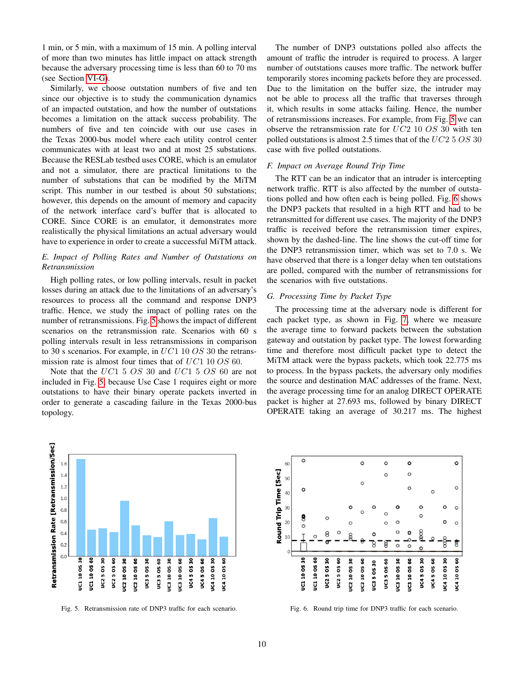1 min, or 5 min, with a maximum of 15 min. A polling interval of more than two minutes has little impact on attack strength because the adversary processing time is less than 60 to 70 ms (see Section [VI-G\)](#page-9-0).

Similarly, we choose outstation numbers of five and ten since our objective is to study the communication dynamics of an impacted outstation, and how the number of outstations becomes a limitation on the attack success probability. The numbers of five and ten coincide with our use cases in the Texas 2000-bus model where each utility control center communicates with at least two and at most 25 substations. Because the RESLab testbed uses CORE, which is an emulator and not a simulator, there are practical limitations to the number of substations that can be modified by the MiTM script. This number in our testbed is about 50 substations; however, this depends on the amount of memory and capacity of the network interface card's buffer that is allocated to CORE. Since CORE is an emulator, it demonstrates more realistically the physical limitations an actual adversary would have to experience in order to create a successful MiTM attack.

# *E. Impact of Polling Rates and Number of Outstations on Retransmission*

High polling rates, or low polling intervals, result in packet losses during an attack due to the limitations of an adversary's resources to process all the command and response DNP3 traffic. Hence, we study the impact of polling rates on the number of retransmissions. Fig. [5](#page-9-1) shows the impact of different scenarios on the retransmission rate. Scenarios with 60 s polling intervals result in less retransmissions in comparison to 30 s scenarios. For example, in  $UC1$  10  $OS$  30 the retransmission rate is almost four times that of  $UC1$  10 OS 60.

Note that the UC1 5 OS 30 and UC1 5 OS 60 are not included in Fig. [5,](#page-9-1) because Use Case 1 requires eight or more outstations to have their binary operate packets inverted in order to generate a cascading failure in the Texas 2000-bus topology.

The number of DNP3 outstations polled also affects the amount of traffic the intruder is required to process. A larger number of outstations causes more traffic. The network buffer temporarily stores incoming packets before they are processed. Due to the limitation on the buffer size, the intruder may not be able to process all the traffic that traverses through it, which results in some attacks failing. Hence, the number of retransmissions increases. For example, from Fig. [5](#page-9-1) we can observe the retransmission rate for UC2 10 OS 30 with ten polled outstations is almost 2.5 times that of the  $UC25OS30$ case with five polled outstations.

#### *F. Impact on Average Round Trip Time*

The RTT can be an indicator that an intruder is intercepting network traffic. RTT is also affected by the number of outstations polled and how often each is being polled. Fig. [6](#page-9-2) shows the DNP3 packets that resulted in a high RTT and had to be retransmitted for different use cases. The majority of the DNP3 traffic is received before the retransmission timer expires, shown by the dashed-line. The line shows the cut-off time for the DNP3 retransmission timer, which was set to 7.0 s. We have observed that there is a longer delay when ten outstations are polled, compared with the number of retransmissions for the scenarios with five outstations.

# <span id="page-9-0"></span>*G. Processing Time by Packet Type*

The processing time at the adversary node is different for each packet type, as shown in Fig. [7,](#page-10-1) where we measure the average time to forward packets between the substation gateway and outstation by packet type. The lowest forwarding time and therefore most difficult packet type to detect the MiTM attack were the bypass packets, which took 22.775 ms to process. In the bypass packets, the adversary only modifies the source and destination MAC addresses of the frame. Next, the average processing time for an analog DIRECT OPERATE packet is higher at 27.693 ms, followed by binary DIRECT OPERATE taking an average of 30.217 ms. The highest



<span id="page-9-1"></span>Fig. 5. Retransmission rate of DNP3 traffic for each scenario.



<span id="page-9-2"></span>Fig. 6. Round trip time for DNP3 traffic for each scenario.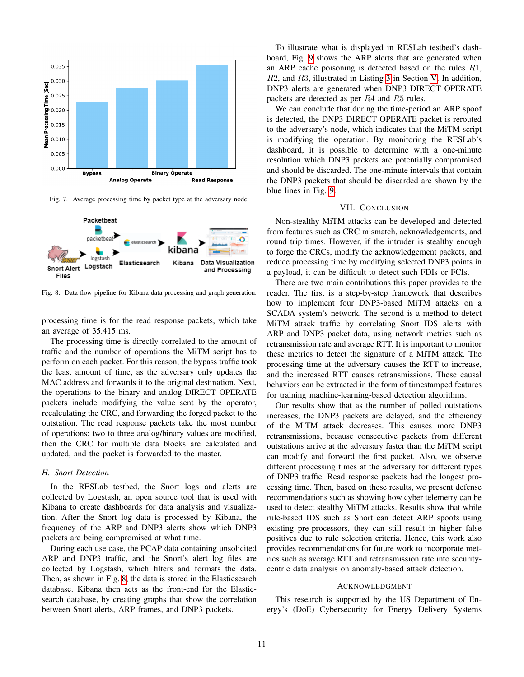

<span id="page-10-1"></span>Fig. 7. Average processing time by packet type at the adversary node.



<span id="page-10-2"></span>Fig. 8. Data flow pipeline for Kibana data processing and graph generation.

processing time is for the read response packets, which take an average of 35.415 ms.

The processing time is directly correlated to the amount of traffic and the number of operations the MiTM script has to perform on each packet. For this reason, the bypass traffic took the least amount of time, as the adversary only updates the MAC address and forwards it to the original destination. Next, the operations to the binary and analog DIRECT OPERATE packets include modifying the value sent by the operator, recalculating the CRC, and forwarding the forged packet to the outstation. The read response packets take the most number of operations: two to three analog/binary values are modified, then the CRC for multiple data blocks are calculated and updated, and the packet is forwarded to the master.

#### *H. Snort Detection*

In the RESLab testbed, the Snort logs and alerts are collected by Logstash, an open source tool that is used with Kibana to create dashboards for data analysis and visualization. After the Snort log data is processed by Kibana, the frequency of the ARP and DNP3 alerts show which DNP3 packets are being compromised at what time.

During each use case, the PCAP data containing unsolicited ARP and DNP3 traffic, and the Snort's alert log files are collected by Logstash, which filters and formats the data. Then, as shown in Fig. [8,](#page-10-2) the data is stored in the Elasticsearch database. Kibana then acts as the front-end for the Elasticsearch database, by creating graphs that show the correlation between Snort alerts, ARP frames, and DNP3 packets.

To illustrate what is displayed in RESLab testbed's dashboard, Fig. [9](#page-11-20) shows the ARP alerts that are generated when an ARP cache poisoning is detected based on the rules R1, R2, and R3, illustrated in Listing [3](#page-7-5) in Section [V.](#page-7-0) In addition, DNP3 alerts are generated when DNP3 DIRECT OPERATE packets are detected as per R4 and R5 rules.

We can conclude that during the time-period an ARP spoof is detected, the DNP3 DIRECT OPERATE packet is rerouted to the adversary's node, which indicates that the MiTM script is modifying the operation. By monitoring the RESLab's dashboard, it is possible to determine with a one-minute resolution which DNP3 packets are potentially compromised and should be discarded. The one-minute intervals that contain the DNP3 packets that should be discarded are shown by the blue lines in Fig. [9.](#page-11-20)

## VII. CONCLUSION

<span id="page-10-0"></span>Non-stealthy MiTM attacks can be developed and detected from features such as CRC mismatch, acknowledgements, and round trip times. However, if the intruder is stealthy enough to forge the CRCs, modify the acknowledgement packets, and reduce processing time by modifying selected DNP3 points in a payload, it can be difficult to detect such FDIs or FCIs.

There are two main contributions this paper provides to the reader. The first is a step-by-step framework that describes how to implement four DNP3-based MiTM attacks on a SCADA system's network. The second is a method to detect MiTM attack traffic by correlating Snort IDS alerts with ARP and DNP3 packet data, using network metrics such as retransmission rate and average RTT. It is important to monitor these metrics to detect the signature of a MiTM attack. The processing time at the adversary causes the RTT to increase, and the increased RTT causes retransmissions. These causal behaviors can be extracted in the form of timestamped features for training machine-learning-based detection algorithms.

Our results show that as the number of polled outstations increases, the DNP3 packets are delayed, and the efficiency of the MiTM attack decreases. This causes more DNP3 retransmissions, because consecutive packets from different outstations arrive at the adversary faster than the MiTM script can modify and forward the first packet. Also, we observe different processing times at the adversary for different types of DNP3 traffic. Read response packets had the longest processing time. Then, based on these results, we present defense recommendations such as showing how cyber telemetry can be used to detect stealthy MiTM attacks. Results show that while rule-based IDS such as Snort can detect ARP spoofs using existing pre-processors, they can still result in higher false positives due to rule selection criteria. Hence, this work also provides recommendations for future work to incorporate metrics such as average RTT and retransmission rate into securitycentric data analysis on anomaly-based attack detection.

#### ACKNOWLEDGMENT

This research is supported by the US Department of Energy's (DoE) Cybersecurity for Energy Delivery Systems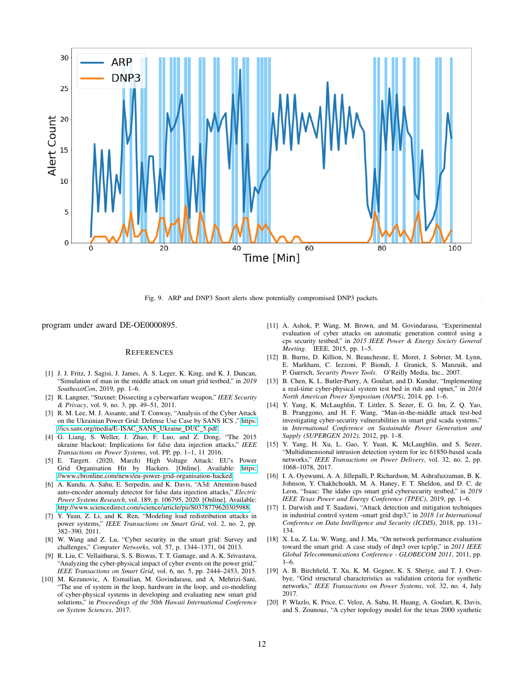

<span id="page-11-20"></span>Fig. 9. ARP and DNP3 Snort alerts show potentially compromised DNP3 packets.

program under award DE-OE0000895.

### **REFERENCES**

- <span id="page-11-0"></span>[1] J. J. Fritz, J. Sagisi, J. James, A. S. Leger, K. King, and K. J. Duncan, "Simulation of man in the middle attack on smart grid testbed," in *2019 SoutheastCon*, 2019, pp. 1–6.
- <span id="page-11-1"></span>[2] R. Langner, "Stuxnet: Dissecting a cyberwarfare weapon," *IEEE Security & Privacy*, vol. 9, no. 3, pp. 49–51, 2011.
- <span id="page-11-2"></span>[3] R. M. Lee, M. J. Assante, and T. Conway, "Analysis of the Cyber Attack on the Ukrainian Power Grid: Defense Use Case by SANS ICS ," [https:](https://ics.sans.org/media/E-ISAC_SANS_Ukraine_DUC_5.pdf) [//ics.sans.org/media/E-ISAC](https://ics.sans.org/media/E-ISAC_SANS_Ukraine_DUC_5.pdf)\_SANS\_Ukraine\_DUC\_5.pdf.
- <span id="page-11-3"></span>[4] G. Liang, S. Weller, J. Zhao, F. Luo, and Z. Dong, "The 2015 ukraine blackout: Implications for false data injection attacks," *IEEE Transactions on Power Systems*, vol. PP, pp. 1–1, 11 2016.
- <span id="page-11-4"></span>[5] E. Targett. (2020, March) High Voltage Attack: EU's Power Grid Organisation Hit by Hackers. [Online]. Available: [https:](https://www.cbronline.com/news/eu-power-grid-organisation-hacked) [//www.cbronline.com/news/eu-power-grid-organisation-hacked](https://www.cbronline.com/news/eu-power-grid-organisation-hacked)
- <span id="page-11-5"></span>[6] A. Kundu, A. Sahu, E. Serpedin, and K. Davis, "A3d: Attention-based auto-encoder anomaly detector for false data injection attacks," *Electric Power Systems Research*, vol. 189, p. 106795, 2020. [Online]. Available: <http://www.sciencedirect.com/science/article/pii/S0378779620305988>
- <span id="page-11-6"></span>[7] Y. Yuan, Z. Li, and K. Ren, "Modeling load redistribution attacks in power systems," *IEEE Transactions on Smart Grid*, vol. 2, no. 2, pp. 382–390, 2011.
- <span id="page-11-7"></span>[8] W. Wang and Z. Lu, "Cyber security in the smart grid: Survey and challenges," *Computer Networks*, vol. 57, p. 1344–1371, 04 2013.
- <span id="page-11-8"></span>[9] R. Liu, C. Vellaithurai, S. S. Biswas, T. T. Gamage, and A. K. Srivastava, "Analyzing the cyber-physical impact of cyber events on the power grid," *IEEE Transactions on Smart Grid*, vol. 6, no. 5, pp. 2444–2453, 2015.
- <span id="page-11-9"></span>[10] M. Kezunovic, A. Esmailian, M. Govindarasu, and A. Mehrizi-Sani, "The use of system in the loop, hardware in the loop, and co-modeling of cyber-physical systems in developing and evaluating new smart grid solutions," in *Proceedings of the 50th Hawaii International Conference on System Sciences*, 2017.
- <span id="page-11-10"></span>[11] A. Ashok, P. Wang, M. Brown, and M. Govindarasu, "Experimental evaluation of cyber attacks on automatic generation control using a cps security testbed," in *2015 IEEE Power & Energy Society General Meeting*. IEEE, 2015, pp. 1–5.
- <span id="page-11-11"></span>[12] B. Burns, D. Killion, N. Beauchesne, E. Moret, J. Sobrier, M. Lynn, E. Markham, C. Iezzoni, P. Biondi, J. Granick, S. Manzuik, and P. Guersch, *Security Power Tools*. O'Reilly Media, Inc., 2007.
- <span id="page-11-12"></span>[13] B. Chen, K. L. Butler-Purry, A. Goulart, and D. Kundur, "Implementing a real-time cyber-physical system test bed in rtds and opnet," in *2014 North American Power Symposium (NAPS)*, 2014, pp. 1–6.
- <span id="page-11-13"></span>[14] Y. Yang, K. McLaughlin, T. Littler, S. Sezer, E. G. Im, Z. Q. Yao, B. Pranggono, and H. F. Wang, "Man-in-the-middle attack test-bed investigating cyber-security vulnerabilities in smart grid scada systems," in *International Conference on Sustainable Power Generation and Supply (SUPERGEN 2012)*, 2012, pp. 1–8.
- <span id="page-11-14"></span>[15] Y. Yang, H. Xu, L. Gao, Y. Yuan, K. McLaughlin, and S. Sezer, "Multidimensional intrusion detection system for iec 61850-based scada networks," *IEEE Transactions on Power Delivery*, vol. 32, no. 2, pp. 1068–1078, 2017.
- <span id="page-11-15"></span>[16] I. A. Oyewumi, A. A. Jillepalli, P. Richardson, M. Ashrafuzzaman, B. K. Johnson, Y. Chakhchoukh, M. A. Haney, F. T. Sheldon, and D. C. de Leon, "Isaac: The idaho cps smart grid cybersecurity testbed," in *2019 IEEE Texas Power and Energy Conference (TPEC)*, 2019, pp. 1–6.
- <span id="page-11-16"></span>[17] I. Darwish and T. Saadawi, "Attack detection and mitigation techniques in industrial control system -smart grid dnp3," in *2018 1st International Conference on Data Intelligence and Security (ICDIS)*, 2018, pp. 131– 134.
- <span id="page-11-17"></span>[18] X. Lu, Z. Lu, W. Wang, and J. Ma, "On network performance evaluation toward the smart grid: A case study of dnp3 over tcp/ip," in *2011 IEEE Global Telecommunications Conference - GLOBECOM 2011*, 2011, pp. 1–6.
- <span id="page-11-18"></span>[19] A. B. Birchfield, T. Xu, K. M. Gegner, K. S. Shetye, and T. J. Overbye, "Grid structural characteristics as validation criteria for synthetic networks," *IEEE Transactions on Power Systems*, vol. 32, no. 4, July 2017.
- <span id="page-11-19"></span>[20] P. Wlazlo, K. Price, C. Veloz, A. Sahu, H. Huang, A. Goulart, K. Davis, and S. Zounouz, "A cyber topology model for the texas 2000 synthetic